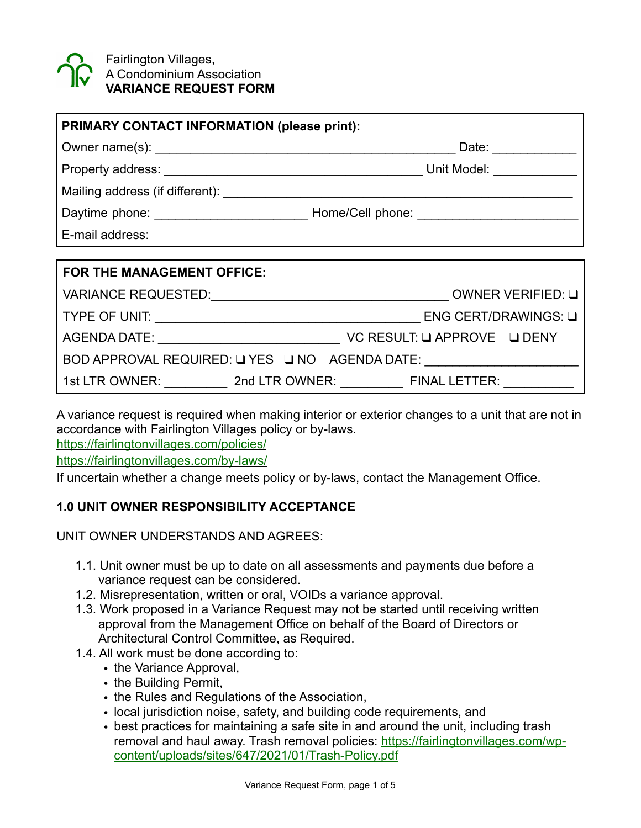

Fairlington Villages, A Condominium Association **VARIANCE REQUEST FORM** 

| PRIMARY CONTACT INFORMATION (please print): |  |                                                |
|---------------------------------------------|--|------------------------------------------------|
|                                             |  |                                                |
|                                             |  |                                                |
|                                             |  |                                                |
|                                             |  |                                                |
| E-mail address:                             |  |                                                |
|                                             |  |                                                |
| FOR THE MANAGEMENT OFFICE:                  |  |                                                |
|                                             |  | VARIANCE REQUESTED: VARIANCE REQUESTED: 0      |
|                                             |  |                                                |
|                                             |  |                                                |
|                                             |  | BOD APPROVAL REQUIRED: Q YES Q NO AGENDA DATE: |
|                                             |  | 1st LTR OWNER: 2nd LTR OWNER: FINAL LETTER:    |

A variance request is required when making interior or exterior changes to a unit that are not in accordance with Fairlington Villages policy or by-laws.

<https://fairlingtonvillages.com/policies/>

<https://fairlingtonvillages.com/by-laws/>

If uncertain whether a change meets policy or by-laws, contact the Management Office.

## **1.0 UNIT OWNER RESPONSIBILITY ACCEPTANCE**

UNIT OWNER UNDERSTANDS AND AGREES:

- 1.1. Unit owner must be up to date on all assessments and payments due before a variance request can be considered.
- 1.2. Misrepresentation, written or oral, VOIDs a variance approval.
- 1.3. Work proposed in a Variance Request may not be started until receiving written approval from the Management Office on behalf of the Board of Directors or Architectural Control Committee, as Required.
- 1.4. All work must be done according to:
	- the Variance Approval,
	- the Building Permit,
	- the Rules and Regulations of the Association,
	- local jurisdiction noise, safety, and building code requirements, and
	- best practices for maintaining a safe site in and around the unit, including trash [removal and haul away. Trash removal policies: https://fairlingtonvillages.com/wp](https://fairlingtonvillages.com/wp-content/uploads/sites/647/2021/01/Trash-Policy.pdf)[content/uploads/sites/647/2021/01/Trash-Policy.pdf](https://fairlingtonvillages.com/wp-content/uploads/sites/647/2021/01/Trash-Policy.pdf)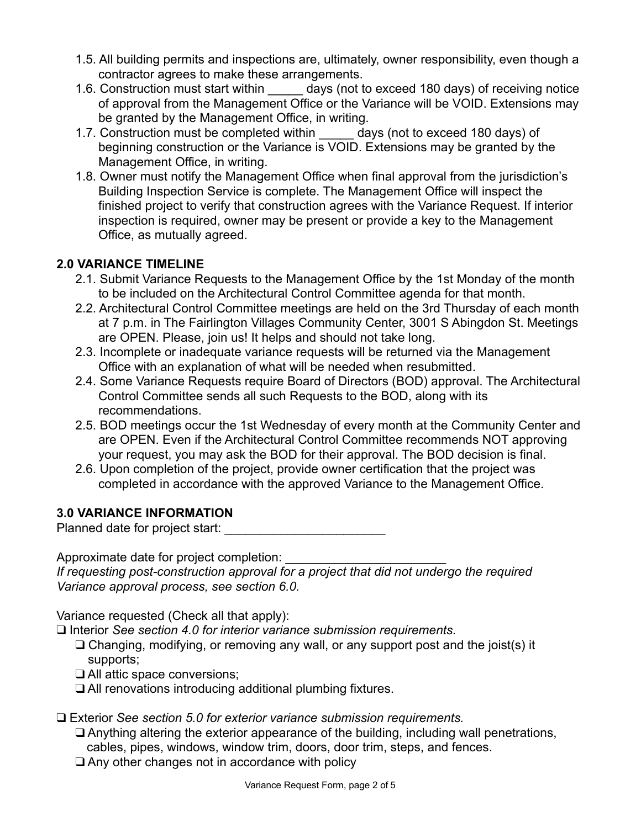- 1.5. All building permits and inspections are, ultimately, owner responsibility, even though a contractor agrees to make these arrangements.
- 1.6. Construction must start within days (not to exceed 180 days) of receiving notice of approval from the Management Office or the Variance will be VOID. Extensions may be granted by the Management Office, in writing.
- 1.7. Construction must be completed within days (not to exceed 180 days) of beginning construction or the Variance is VOID. Extensions may be granted by the Management Office, in writing.
- 1.8. Owner must notify the Management Office when final approval from the jurisdiction's Building Inspection Service is complete. The Management Office will inspect the finished project to verify that construction agrees with the Variance Request. If interior inspection is required, owner may be present or provide a key to the Management Office, as mutually agreed.

# **2.0 VARIANCE TIMELINE**

- 2.1. Submit Variance Requests to the Management Office by the 1st Monday of the month to be included on the Architectural Control Committee agenda for that month.
- 2.2. Architectural Control Committee meetings are held on the 3rd Thursday of each month at 7 p.m. in The Fairlington Villages Community Center, 3001 S Abingdon St. Meetings are OPEN. Please, join us! It helps and should not take long.
- 2.3. Incomplete or inadequate variance requests will be returned via the Management Office with an explanation of what will be needed when resubmitted.
- 2.4. Some Variance Requests require Board of Directors (BOD) approval. The Architectural Control Committee sends all such Requests to the BOD, along with its recommendations.
- 2.5. BOD meetings occur the 1st Wednesday of every month at the Community Center and are OPEN. Even if the Architectural Control Committee recommends NOT approving your request, you may ask the BOD for their approval. The BOD decision is final.
- 2.6. Upon completion of the project, provide owner certification that the project was completed in accordance with the approved Variance to the Management Office.

# **3.0 VARIANCE INFORMATION**

Planned date for project start:

Approximate date for project completion: \_\_\_\_\_\_\_\_\_\_\_\_\_\_\_\_\_\_\_\_\_\_\_

*If requesting post-construction approval for a project that did not undergo the required Variance approval process, see section 6.0.* 

Variance requested (Check all that apply):

❑ Interior *See section 4.0 for interior variance submission requirements.*

- ❑ Changing, modifying, or removing any wall, or any support post and the joist(s) it supports;
- ❑ All attic space conversions;
- ❑ All renovations introducing additional plumbing fixtures.

❑ Exterior *See section 5.0 for exterior variance submission requirements.*

❑ Anything altering the exterior appearance of the building, including wall penetrations,

cables, pipes, windows, window trim, doors, door trim, steps, and fences.

❑ Any other changes not in accordance with policy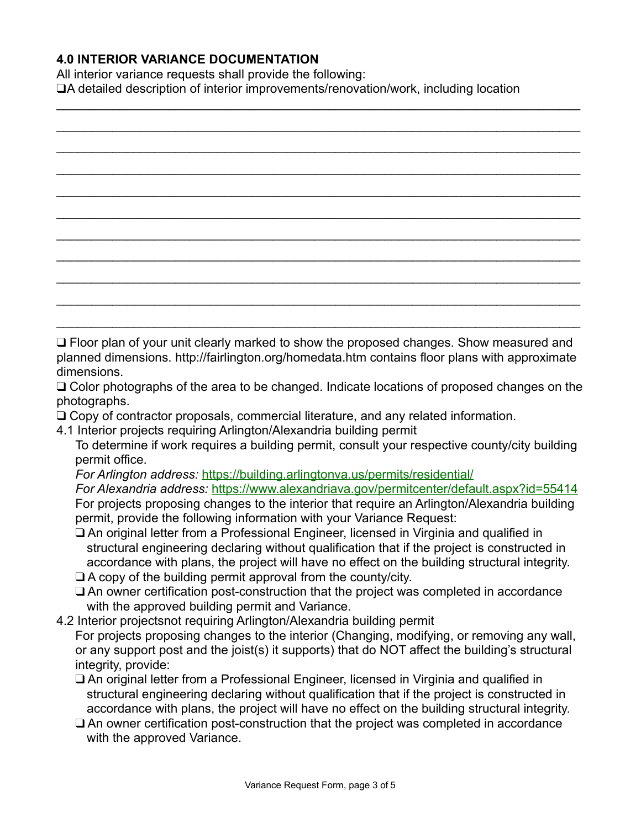## **4.0 INTERIOR VARIANCE DOCUMENTATION**

All interior variance requests shall provide the following:

❑A detailed description of interior improvements/renovation/work, including location

| □ Floor plan of your unit clearly marked to show the proposed changes. Show measured and |
|------------------------------------------------------------------------------------------|

planned dimensions. http://fairlington.org/homedata.htm contains floor plans with approximate dimensions.

❑ Color photographs of the area to be changed. Indicate locations of proposed changes on the photographs.

- ❑ Copy of contractor proposals, commercial literature, and any related information.
- 4.1 Interior projects requiring Arlington/Alexandria building permit
	- To determine if work requires a building permit, consult your respective county/city building permit office.

*For Arlington address:* <https://building.arlingtonva.us/permits/residential/>

*For Alexandria address:* <https://www.alexandriava.gov/permitcenter/default.aspx?id=55414> For projects proposing changes to the interior that require an Arlington/Alexandria building permit, provide the following information with your Variance Request:

- ❑ An original letter from a Professional Engineer, licensed in Virginia and qualified in structural engineering declaring without qualification that if the project is constructed in accordance with plans, the project will have no effect on the building structural integrity.
- ❑ A copy of the building permit approval from the county/city.
- ❑ An owner certification post-construction that the project was completed in accordance with the approved building permit and Variance.
- 4.2 Interior projectsnot requiring Arlington/Alexandria building permit

For projects proposing changes to the interior (Changing, modifying, or removing any wall, or any support post and the joist(s) it supports) that do NOT affect the building's structural integrity, provide:

- ❑ An original letter from a Professional Engineer, licensed in Virginia and qualified in structural engineering declaring without qualification that if the project is constructed in accordance with plans, the project will have no effect on the building structural integrity.
- ❑ An owner certification post-construction that the project was completed in accordance with the approved Variance.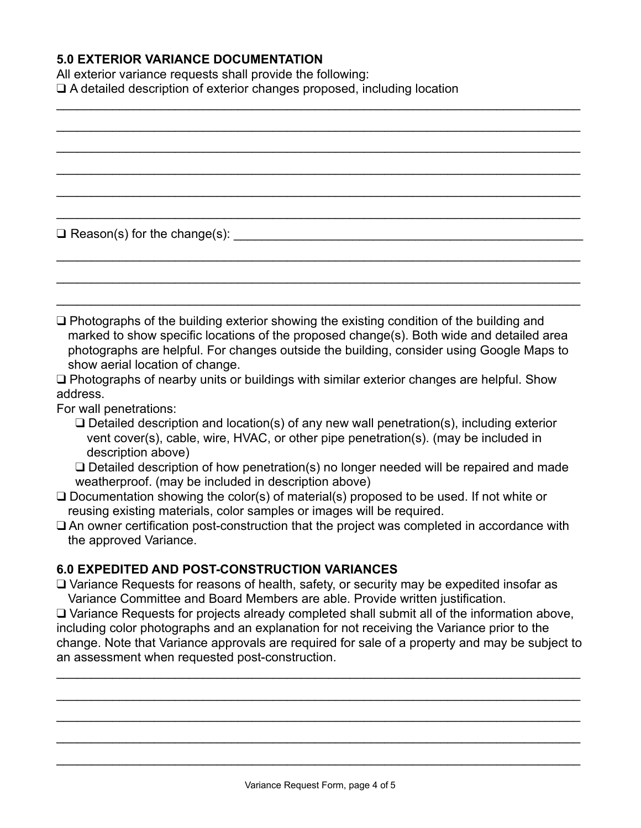## **5.0 EXTERIOR VARIANCE DOCUMENTATION**

All exterior variance requests shall provide the following: ❑ A detailed description of exterior changes proposed, including location  $\mathcal{L}_\text{max}$  and  $\mathcal{L}_\text{max}$  and  $\mathcal{L}_\text{max}$  and  $\mathcal{L}_\text{max}$  and  $\mathcal{L}_\text{max}$  and  $\mathcal{L}_\text{max}$ 

 $\Box$  Reason(s) for the change(s):  $\Box$ 

❑ Photographs of the building exterior showing the existing condition of the building and marked to show specific locations of the proposed change(s). Both wide and detailed area photographs are helpful. For changes outside the building, consider using Google Maps to show aerial location of change.

 $\mathcal{L}_\text{max}$  and  $\mathcal{L}_\text{max}$  and  $\mathcal{L}_\text{max}$  and  $\mathcal{L}_\text{max}$  and  $\mathcal{L}_\text{max}$  and  $\mathcal{L}_\text{max}$ 

\_\_\_\_\_\_\_\_\_\_\_\_\_\_\_\_\_\_\_\_\_\_\_\_\_\_\_\_\_\_\_\_\_\_\_\_\_\_\_\_\_\_\_\_\_\_\_\_\_\_\_\_\_\_\_\_\_\_\_\_\_\_\_\_\_\_\_\_\_\_\_\_\_\_\_

\_\_\_\_\_\_\_\_\_\_\_\_\_\_\_\_\_\_\_\_\_\_\_\_\_\_\_\_\_\_\_\_\_\_\_\_\_\_\_\_\_\_\_\_\_\_\_\_\_\_\_\_\_\_\_\_\_\_\_\_\_\_\_\_\_\_\_\_\_\_\_\_\_\_\_

\_\_\_\_\_\_\_\_\_\_\_\_\_\_\_\_\_\_\_\_\_\_\_\_\_\_\_\_\_\_\_\_\_\_\_\_\_\_\_\_\_\_\_\_\_\_\_\_\_\_\_\_\_\_\_\_\_\_\_\_\_\_\_\_\_\_\_\_\_\_\_\_\_\_\_

\_\_\_\_\_\_\_\_\_\_\_\_\_\_\_\_\_\_\_\_\_\_\_\_\_\_\_\_\_\_\_\_\_\_\_\_\_\_\_\_\_\_\_\_\_\_\_\_\_\_\_\_\_\_\_\_\_\_\_\_\_\_\_\_\_\_\_\_\_\_\_\_\_\_\_

\_\_\_\_\_\_\_\_\_\_\_\_\_\_\_\_\_\_\_\_\_\_\_\_\_\_\_\_\_\_\_\_\_\_\_\_\_\_\_\_\_\_\_\_\_\_\_\_\_\_\_\_\_\_\_\_\_\_\_\_\_\_\_\_\_\_\_\_\_\_\_\_\_\_\_

\_\_\_\_\_\_\_\_\_\_\_\_\_\_\_\_\_\_\_\_\_\_\_\_\_\_\_\_\_\_\_\_\_\_\_\_\_\_\_\_\_\_\_\_\_\_\_\_\_\_\_\_\_\_\_\_\_\_\_\_\_\_\_\_\_\_\_\_\_\_\_\_\_\_\_

\_\_\_\_\_\_\_\_\_\_\_\_\_\_\_\_\_\_\_\_\_\_\_\_\_\_\_\_\_\_\_\_\_\_\_\_\_\_\_\_\_\_\_\_\_\_\_\_\_\_\_\_\_\_\_\_\_\_\_\_\_\_\_\_\_\_\_\_\_\_\_\_\_\_\_

❑ Photographs of nearby units or buildings with similar exterior changes are helpful. Show address.

For wall penetrations:

❑ Detailed description and location(s) of any new wall penetration(s), including exterior vent cover(s), cable, wire, HVAC, or other pipe penetration(s). (may be included in description above)

❑ Detailed description of how penetration(s) no longer needed will be repaired and made weatherproof. (may be included in description above)

- ❑ Documentation showing the color(s) of material(s) proposed to be used. If not white or reusing existing materials, color samples or images will be required.
- ❑ An owner certification post-construction that the project was completed in accordance with the approved Variance.

#### **6.0 EXPEDITED AND POST-CONSTRUCTION VARIANCES**

❑ Variance Requests for reasons of health, safety, or security may be expedited insofar as Variance Committee and Board Members are able. Provide written justification.

❑ Variance Requests for projects already completed shall submit all of the information above, including color photographs and an explanation for not receiving the Variance prior to the change. Note that Variance approvals are required for sale of a property and may be subject to an assessment when requested post-construction.

\_\_\_\_\_\_\_\_\_\_\_\_\_\_\_\_\_\_\_\_\_\_\_\_\_\_\_\_\_\_\_\_\_\_\_\_\_\_\_\_\_\_\_\_\_\_\_\_\_\_\_\_\_\_\_\_\_\_\_\_\_\_\_\_\_\_\_\_\_\_\_\_\_\_\_

\_\_\_\_\_\_\_\_\_\_\_\_\_\_\_\_\_\_\_\_\_\_\_\_\_\_\_\_\_\_\_\_\_\_\_\_\_\_\_\_\_\_\_\_\_\_\_\_\_\_\_\_\_\_\_\_\_\_\_\_\_\_\_\_\_\_\_\_\_\_\_\_\_\_\_

 $\mathcal{L}_\text{max}$  and  $\mathcal{L}_\text{max}$  and  $\mathcal{L}_\text{max}$  and  $\mathcal{L}_\text{max}$  and  $\mathcal{L}_\text{max}$  and  $\mathcal{L}_\text{max}$ 

 $\mathcal{L}_\text{max}$  and  $\mathcal{L}_\text{max}$  and  $\mathcal{L}_\text{max}$  and  $\mathcal{L}_\text{max}$  and  $\mathcal{L}_\text{max}$  and  $\mathcal{L}_\text{max}$ 

 $\mathcal{L}_\text{max}$  and  $\mathcal{L}_\text{max}$  and  $\mathcal{L}_\text{max}$  and  $\mathcal{L}_\text{max}$  and  $\mathcal{L}_\text{max}$  and  $\mathcal{L}_\text{max}$